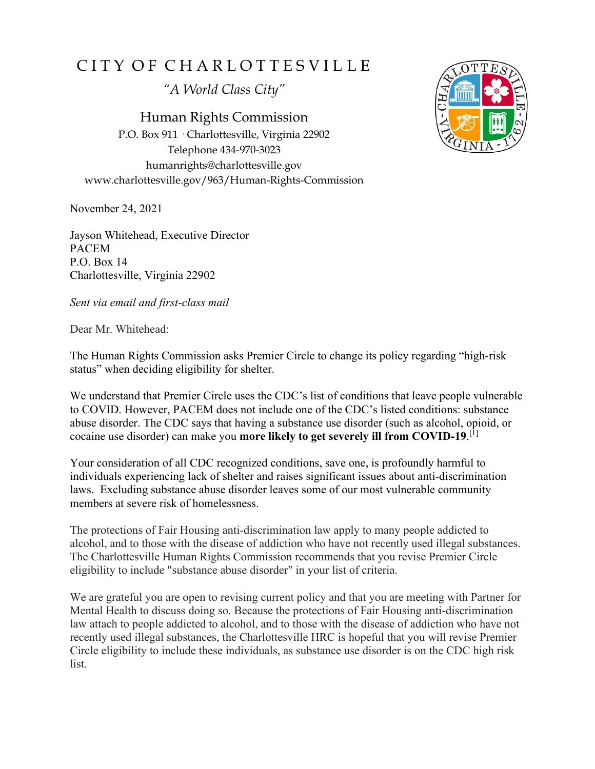## CITY OF CHARLOTTESVILLE

*"A World Class City"*

Human Rights Commission P.O. Box 911 · Charlottesville, Virginia 22902 Telephone 434-970-3023 humanrights@charlottesville.gov www.charlottesville.gov/963/Human-Rights-Commission

November 24, 2021

Jayson Whitehead, Executive Director PACEM P.O. Box 14 Charlottesville, Virginia 22902

*Sent via email and first-class mail*

Dear Mr. Whitehead:

The Human Rights Commission asks Premier Circle to change its policy regarding "high-risk status" when deciding eligibility for shelter.

We understand that Premier Circle uses the CDC's list of conditions that leave people vulnerable to COVID. However, PACEM does not include one of the CDC's listed conditions: substance abuse disorder. The CDC says that having a substance use disorder (such as alcohol, opioid, or cocaine use disorder) can make you **more likely to get severely ill from COVID-19**. [1]

Your consideration of all CDC recognized conditions, save one, is profoundly harmful to individuals experiencing lack of shelter and raises significant issues about anti-discrimination laws. Excluding substance abuse disorder leaves some of our most vulnerable community members at severe risk of homelessness.

The protections of Fair Housing anti-discrimination law apply to many people addicted to alcohol, and to those with the disease of addiction who have not recently used illegal substances. The Charlottesville Human Rights Commission recommends that you revise Premier Circle eligibility to include "substance abuse disorder" in your list of criteria.

We are grateful you are open to revising current policy and that you are meeting with Partner for Mental Health to discuss doing so. Because the protections of Fair Housing anti-discrimination law attach to people addicted to alcohol, and to those with the disease of addiction who have not recently used illegal substances, the Charlottesville HRC is hopeful that you will revise Premier Circle eligibility to include these individuals, as substance use disorder is on the CDC high risk list.